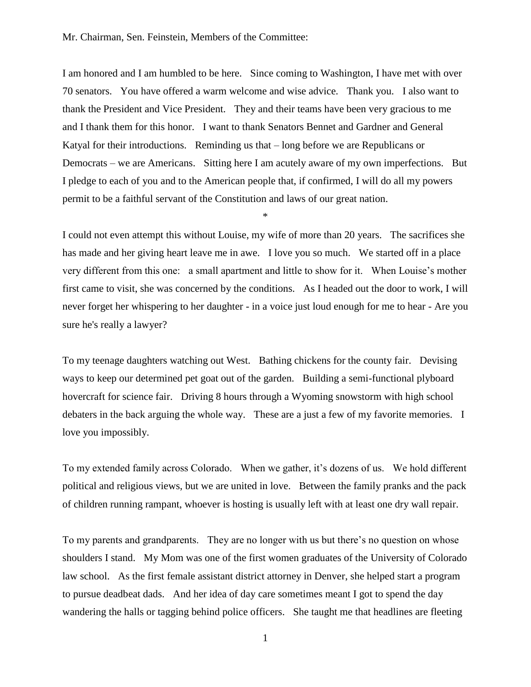I am honored and I am humbled to be here. Since coming to Washington, I have met with over 70 senators. You have offered a warm welcome and wise advice. Thank you. I also want to thank the President and Vice President. They and their teams have been very gracious to me and I thank them for this honor. I want to thank Senators Bennet and Gardner and General Katyal for their introductions. Reminding us that – long before we are Republicans or Democrats – we are Americans. Sitting here I am acutely aware of my own imperfections. But I pledge to each of you and to the American people that, if confirmed, I will do all my powers permit to be a faithful servant of the Constitution and laws of our great nation.

\*

I could not even attempt this without Louise, my wife of more than 20 years. The sacrifices she has made and her giving heart leave me in awe. I love you so much. We started off in a place very different from this one: a small apartment and little to show for it. When Louise's mother first came to visit, she was concerned by the conditions. As I headed out the door to work, I will never forget her whispering to her daughter - in a voice just loud enough for me to hear - Are you sure he's really a lawyer?

To my teenage daughters watching out West. Bathing chickens for the county fair. Devising ways to keep our determined pet goat out of the garden. Building a semi-functional plyboard hovercraft for science fair. Driving 8 hours through a Wyoming snowstorm with high school debaters in the back arguing the whole way. These are a just a few of my favorite memories. I love you impossibly.

To my extended family across Colorado. When we gather, it's dozens of us. We hold different political and religious views, but we are united in love. Between the family pranks and the pack of children running rampant, whoever is hosting is usually left with at least one dry wall repair.

To my parents and grandparents. They are no longer with us but there's no question on whose shoulders I stand. My Mom was one of the first women graduates of the University of Colorado law school. As the first female assistant district attorney in Denver, she helped start a program to pursue deadbeat dads. And her idea of day care sometimes meant I got to spend the day wandering the halls or tagging behind police officers. She taught me that headlines are fleeting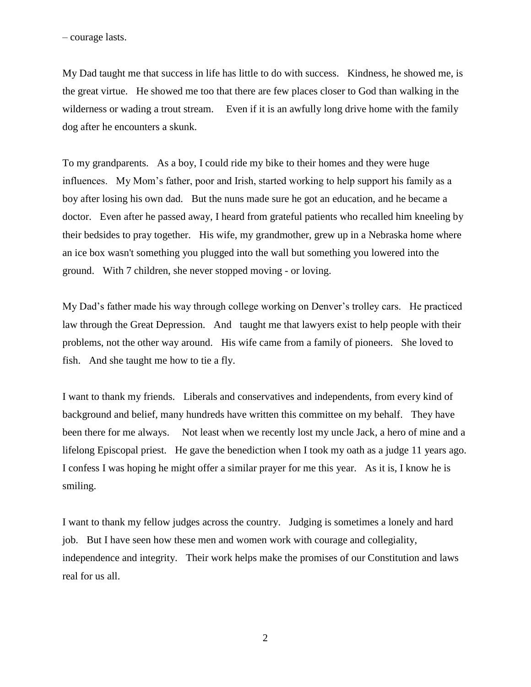My Dad taught me that success in life has little to do with success. Kindness, he showed me, is the great virtue. He showed me too that there are few places closer to God than walking in the wilderness or wading a trout stream. Even if it is an awfully long drive home with the family dog after he encounters a skunk.

To my grandparents. As a boy, I could ride my bike to their homes and they were huge influences. My Mom's father, poor and Irish, started working to help support his family as a boy after losing his own dad. But the nuns made sure he got an education, and he became a doctor. Even after he passed away, I heard from grateful patients who recalled him kneeling by their bedsides to pray together. His wife, my grandmother, grew up in a Nebraska home where an ice box wasn't something you plugged into the wall but something you lowered into the ground. With 7 children, she never stopped moving - or loving.

My Dad's father made his way through college working on Denver's trolley cars. He practiced law through the Great Depression. And taught me that lawyers exist to help people with their problems, not the other way around. His wife came from a family of pioneers. She loved to fish. And she taught me how to tie a fly.

I want to thank my friends. Liberals and conservatives and independents, from every kind of background and belief, many hundreds have written this committee on my behalf. They have been there for me always. Not least when we recently lost my uncle Jack, a hero of mine and a lifelong Episcopal priest. He gave the benediction when I took my oath as a judge 11 years ago. I confess I was hoping he might offer a similar prayer for me this year. As it is, I know he is smiling.

I want to thank my fellow judges across the country. Judging is sometimes a lonely and hard job. But I have seen how these men and women work with courage and collegiality, independence and integrity. Their work helps make the promises of our Constitution and laws real for us all.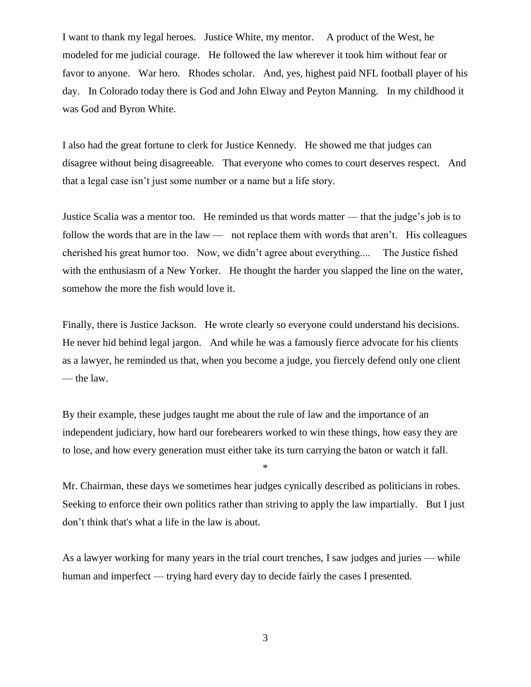I want to thank my legal heroes. Justice White, my mentor. A product of the West, he modeled for me judicial courage. He followed the law wherever it took him without fear or favor to anyone. War hero. Rhodes scholar. And, yes, highest paid NFL football player of his day. In Colorado today there is God and John Elway and Peyton Manning. In my childhood it was God and Byron White.

I also had the great fortune to clerk for Justice Kennedy. He showed me that judges can disagree without being disagreeable. That everyone who comes to court deserves respect. And that a legal case isn't just some number or a name but a life story.

Justice Scalia was a mentor too. He reminded us that words matter — that the judge's job is to follow the words that are in the law — not replace them with words that aren't. His colleagues cherished his great humor too. Now, we didn't agree about everything.... The Justice fished with the enthusiasm of a New Yorker. He thought the harder you slapped the line on the water, somehow the more the fish would love it.

Finally, there is Justice Jackson. He wrote clearly so everyone could understand his decisions. He never hid behind legal jargon. And while he was a famously fierce advocate for his clients as a lawyer, he reminded us that, when you become a judge, you fiercely defend only one client — the law.

By their example, these judges taught me about the rule of law and the importance of an independent judiciary, how hard our forebearers worked to win these things, how easy they are to lose, and how every generation must either take its turn carrying the baton or watch it fall.

Mr. Chairman, these days we sometimes hear judges cynically described as politicians in robes. Seeking to enforce their own politics rather than striving to apply the law impartially. But I just don't think that's what a life in the law is about.

\*

As a lawyer working for many years in the trial court trenches, I saw judges and juries — while human and imperfect — trying hard every day to decide fairly the cases I presented.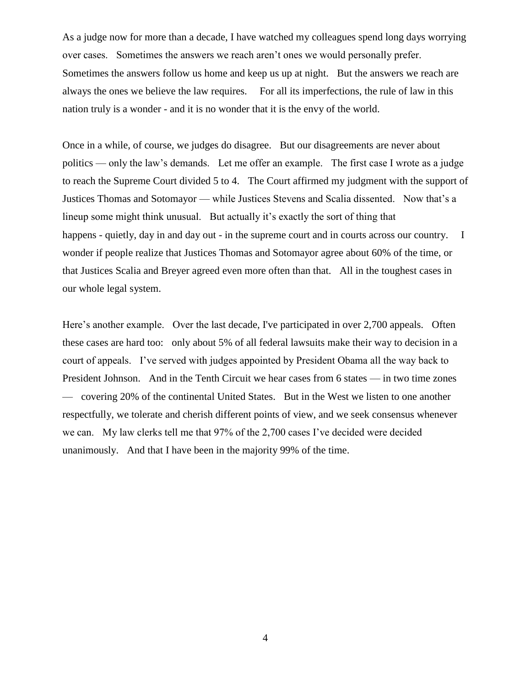As a judge now for more than a decade, I have watched my colleagues spend long days worrying over cases. Sometimes the answers we reach aren't ones we would personally prefer. Sometimes the answers follow us home and keep us up at night. But the answers we reach are always the ones we believe the law requires. For all its imperfections, the rule of law in this nation truly is a wonder - and it is no wonder that it is the envy of the world.

Once in a while, of course, we judges do disagree. But our disagreements are never about politics — only the law's demands. Let me offer an example. The first case I wrote as a judge to reach the Supreme Court divided 5 to 4. The Court affirmed my judgment with the support of Justices Thomas and Sotomayor — while Justices Stevens and Scalia dissented. Now that's a lineup some might think unusual. But actually it's exactly the sort of thing that happens - quietly, day in and day out - in the supreme court and in courts across our country. I wonder if people realize that Justices Thomas and Sotomayor agree about 60% of the time, or that Justices Scalia and Breyer agreed even more often than that. All in the toughest cases in our whole legal system.

Here's another example. Over the last decade, I've participated in over 2,700 appeals. Often these cases are hard too: only about 5% of all federal lawsuits make their way to decision in a court of appeals. I've served with judges appointed by President Obama all the way back to President Johnson. And in the Tenth Circuit we hear cases from 6 states — in two time zones — covering 20% of the continental United States. But in the West we listen to one another respectfully, we tolerate and cherish different points of view, and we seek consensus whenever we can. My law clerks tell me that 97% of the 2,700 cases I've decided were decided unanimously. And that I have been in the majority 99% of the time.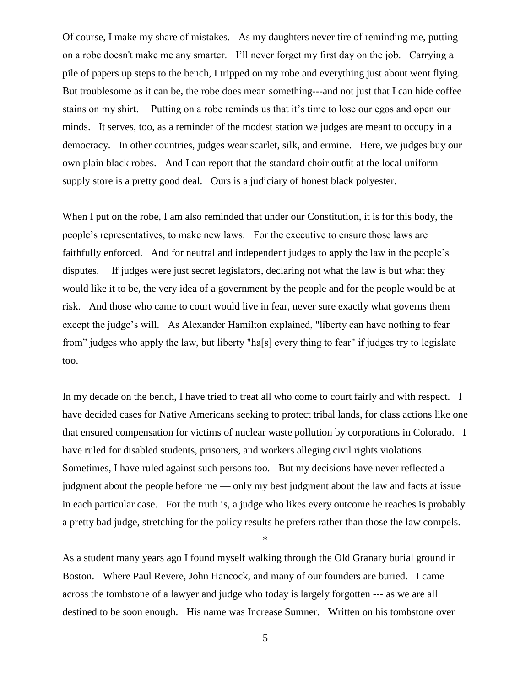Of course, I make my share of mistakes. As my daughters never tire of reminding me, putting on a robe doesn't make me any smarter. I'll never forget my first day on the job. Carrying a pile of papers up steps to the bench, I tripped on my robe and everything just about went flying. But troublesome as it can be, the robe does mean something---and not just that I can hide coffee stains on my shirt. Putting on a robe reminds us that it's time to lose our egos and open our minds. It serves, too, as a reminder of the modest station we judges are meant to occupy in a democracy. In other countries, judges wear scarlet, silk, and ermine. Here, we judges buy our own plain black robes. And I can report that the standard choir outfit at the local uniform supply store is a pretty good deal. Ours is a judiciary of honest black polyester.

When I put on the robe, I am also reminded that under our Constitution, it is for this body, the people's representatives, to make new laws. For the executive to ensure those laws are faithfully enforced. And for neutral and independent judges to apply the law in the people's disputes. If judges were just secret legislators, declaring not what the law is but what they would like it to be, the very idea of a government by the people and for the people would be at risk. And those who came to court would live in fear, never sure exactly what governs them except the judge's will. As Alexander Hamilton explained, "liberty can have nothing to fear from" judges who apply the law, but liberty "ha[s] every thing to fear" if judges try to legislate too.

In my decade on the bench, I have tried to treat all who come to court fairly and with respect. I have decided cases for Native Americans seeking to protect tribal lands, for class actions like one that ensured compensation for victims of nuclear waste pollution by corporations in Colorado. I have ruled for disabled students, prisoners, and workers alleging civil rights violations. Sometimes, I have ruled against such persons too. But my decisions have never reflected a judgment about the people before me — only my best judgment about the law and facts at issue in each particular case. For the truth is, a judge who likes every outcome he reaches is probably a pretty bad judge, stretching for the policy results he prefers rather than those the law compels.

\*

As a student many years ago I found myself walking through the Old Granary burial ground in Boston. Where Paul Revere, John Hancock, and many of our founders are buried. I came across the tombstone of a lawyer and judge who today is largely forgotten --- as we are all destined to be soon enough. His name was Increase Sumner. Written on his tombstone over